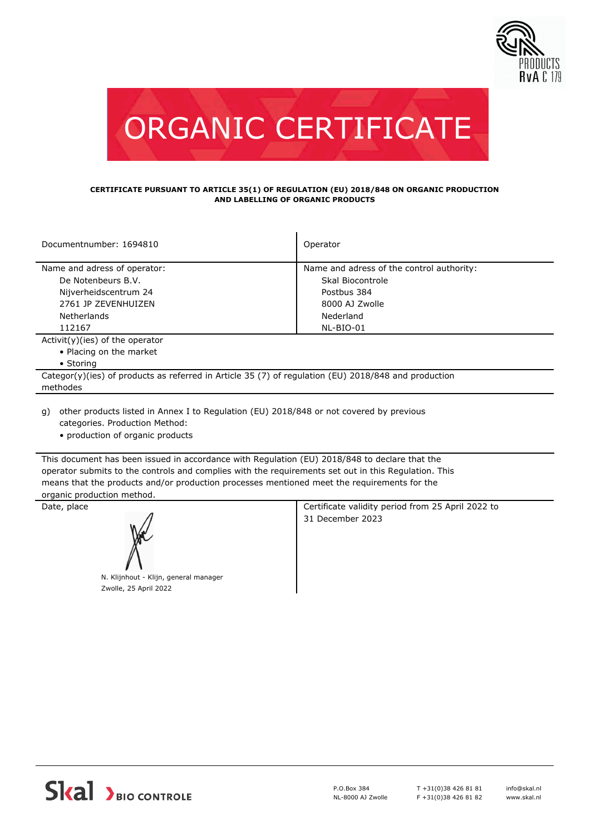



## **CERTIFICATE PURSUANT TO ARTICLE 35(1) OF REGULATION (EU) 2018/848 ON ORGANIC PRODUCTION AND LABELLING OF ORGANIC PRODUCTS**

| Documentnumber: 1694810                                                                              | Operator                                  |  |  |  |
|------------------------------------------------------------------------------------------------------|-------------------------------------------|--|--|--|
| Name and adress of operator:                                                                         | Name and adress of the control authority: |  |  |  |
| De Notenbeurs B.V.                                                                                   | Skal Biocontrole                          |  |  |  |
| Nijverheidscentrum 24                                                                                | Postbus 384                               |  |  |  |
| 2761 JP ZEVENHUIZEN                                                                                  | 8000 AJ Zwolle                            |  |  |  |
| <b>Netherlands</b>                                                                                   | Nederland                                 |  |  |  |
| 112167                                                                                               | NL-BIO-01                                 |  |  |  |
| $Activity)(ies)$ of the operator                                                                     |                                           |  |  |  |
| • Placing on the market                                                                              |                                           |  |  |  |
| $\bullet$ Storing                                                                                    |                                           |  |  |  |
| Categor(y)(ies) of products as referred in Article 35 (7) of regulation (EU) 2018/848 and production |                                           |  |  |  |
| methodes                                                                                             |                                           |  |  |  |
| a) other products listed in Anney I to Requisition (FU) 2018/848 or not covered by previous          |                                           |  |  |  |

other products listed in Annex I to Regulation (EU) 2018/848 or not covered by previous categories. Production Method: g)

• production of organic products

This document has been issued in accordance with Regulation (EU) 2018/848 to declare that the operator submits to the controls and complies with the requirements set out in this Regulation. This means that the products and/or production processes mentioned meet the requirements for the organic production method.



N. Klijnhout - Klijn, general manager Zwolle, 25 April 2022

Date, place Certificate validity period from 25 April 2022 to 31 December 2023